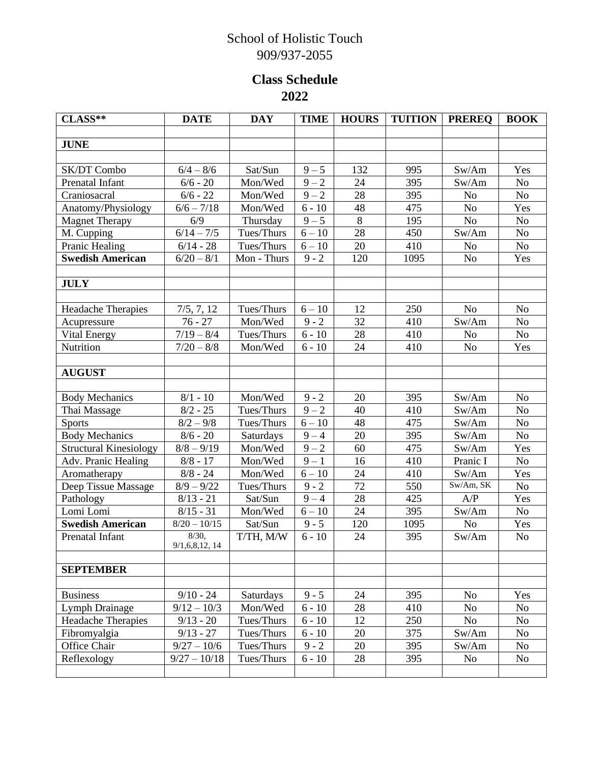## School of Holistic Touch 909/937-2055

## **Class Schedule 2022**

| $CLASS**$                     | <b>DATE</b>                | <b>DAY</b>  | <b>TIME</b> | <b>HOURS</b> | <b>TUITION</b> | <b>PREREO</b>  | <b>BOOK</b>    |
|-------------------------------|----------------------------|-------------|-------------|--------------|----------------|----------------|----------------|
|                               |                            |             |             |              |                |                |                |
| <b>JUNE</b>                   |                            |             |             |              |                |                |                |
|                               |                            |             |             |              |                |                |                |
| SK/DT Combo                   | $6/4 - 8/6$                | Sat/Sun     | $9 - 5$     | 132          | 995            | Sw/Am          | Yes            |
| Prenatal Infant               | $6/6 - 20$                 | Mon/Wed     | $9 - 2$     | 24           | 395            | Sw/Am          | N <sub>0</sub> |
| Craniosacral                  | $6/6 - 22$                 | Mon/Wed     | $9 - 2$     | 28           | 395            | No             | No             |
| Anatomy/Physiology            | $\frac{6}{6}$ - $7/18$     | Mon/Wed     | $6 - 10$    | 48           | 475            | No             | Yes            |
| <b>Magnet Therapy</b>         | 6/9                        | Thursday    | $9 - 5$     | 8            | 195            | N <sub>o</sub> | N <sub>o</sub> |
| M. Cupping                    | $6/14 - 7/5$               | Tues/Thurs  | $6 - 10$    | 28           | 450            | Sw/Am          | No             |
| Pranic Healing                | $6/14 - 28$                | Tues/Thurs  | $6 - 10$    | 20           | 410            | No             | N <sub>o</sub> |
| <b>Swedish American</b>       | $6/20 - 8/1$               | Mon - Thurs | $9 - 2$     | 120          | 1095           | N <sub>o</sub> | Yes            |
| <b>JULY</b>                   |                            |             |             |              |                |                |                |
| <b>Headache Therapies</b>     | 7/5, 7, 12                 | Tues/Thurs  | $6 - 10$    | 12           | 250            | No             | N <sub>o</sub> |
| Acupressure                   | $76 - 27$                  | Mon/Wed     | $9 - 2$     | 32           | 410            | Sw/Am          | No             |
| Vital Energy                  | $7/19 - 8/4$               | Tues/Thurs  | $6 - 10$    | 28           | 410            | N <sub>o</sub> | No             |
| Nutrition                     | $7/20 - 8/8$               | Mon/Wed     | $6 - 10$    | 24           | 410            | No             | Yes            |
|                               |                            |             |             |              |                |                |                |
| <b>AUGUST</b>                 |                            |             |             |              |                |                |                |
|                               |                            |             |             |              |                |                |                |
| <b>Body Mechanics</b>         | $8/1 - 10$                 | Mon/Wed     | $9 - 2$     | 20           | 395            | Sw/Am          | N <sub>o</sub> |
| Thai Massage                  | $8/2 - 25$                 | Tues/Thurs  | $9 - 2$     | 40           | 410            | Sw/Am          | No             |
| <b>Sports</b>                 | $8/2 - 9/8$                | Tues/Thurs  | $6 - 10$    | 48           | 475            | Sw/Am          | N <sub>o</sub> |
| <b>Body Mechanics</b>         | $8/6 - 20$                 | Saturdays   | $9 - 4$     | 20           | 395            | Sw/Am          | N <sub>o</sub> |
| <b>Structural Kinesiology</b> | $8/8 - 9/19$               | Mon/Wed     | $9 - 2$     | 60           | 475            | Sw/Am          | Yes            |
| Adv. Pranic Healing           | $8/8 - 17$                 | Mon/Wed     | $9-1$       | 16           | 410            | Pranic I       | $\rm No$       |
| Aromatherapy                  | $8/8 - 24$                 | Mon/Wed     | $6 - 10$    | 24           | 410            | Sw/Am          | Yes            |
| Deep Tissue Massage           | $8/9 - 9/22$               | Tues/Thurs  | $9 - 2$     | 72           | 550            | Sw/Am, SK      | N <sub>o</sub> |
| Pathology                     | $8/13 - 21$                | Sat/Sun     | $9 - 4$     | 28           | 425            | A/P            | Yes            |
| Lomi Lomi                     | $8/15 - 31$                | Mon/Wed     | $6 - 10$    | 24           | 395            | Sw/Am          | No             |
| <b>Swedish American</b>       | $8/20 - 10/15$             | Sat/Sun     | $9 - 5$     | 120          | 1095           | No             | Yes            |
| Prenatal Infant               | 8/30,<br>9/1, 6, 8, 12, 14 | T/TH, M/W   | $6 - 10$    | 24           | 395            | Sw/Am          | N <sub>o</sub> |
| <b>SEPTEMBER</b>              |                            |             |             |              |                |                |                |
|                               |                            |             |             |              |                |                |                |
| <b>Business</b>               | $9/10 - 24$                | Saturdays   | $9 - 5$     | 24           | 395            | No             | Yes            |
| Lymph Drainage                | $9/12 - 10/3$              | Mon/Wed     | $6 - 10$    | 28           | 410            | No             | No             |
| Headache Therapies            | $9/13 - 20$                | Tues/Thurs  | $6 - 10$    | 12           | 250            | No             | No             |
| Fibromyalgia                  | $9/13 - 27$                | Tues/Thurs  | $6 - 10$    | 20           | 375            | Sw/Am          | <b>No</b>      |
| Office Chair                  | $9/27 - 10/6$              | Tues/Thurs  | $9 - 2$     | 20           | 395            | Sw/Am          | No             |
| Reflexology                   | $9/27 - 10/18$             | Tues/Thurs  | $6 - 10$    | 28           | 395            | No             | No             |
|                               |                            |             |             |              |                |                |                |